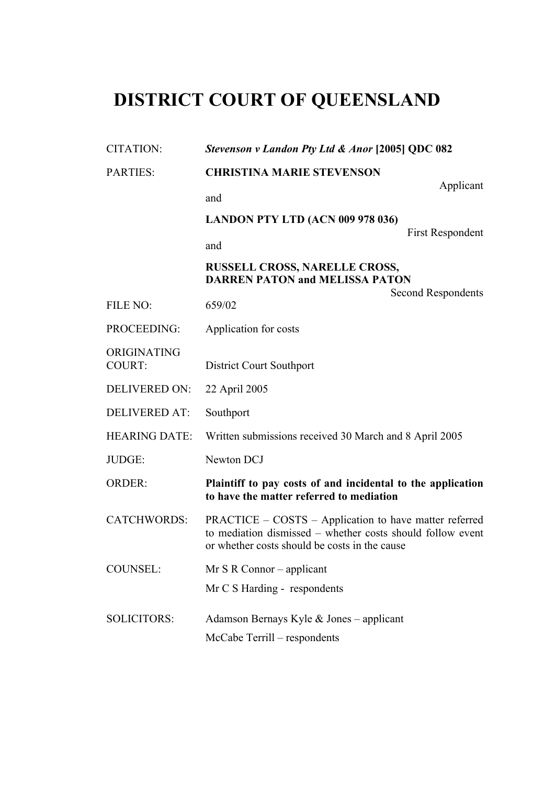## **DISTRICT COURT OF QUEENSLAND**

| <b>CITATION:</b>             | Stevenson v Landon Pty Ltd & Anor [2005] QDC 082                                                                                                                      |  |
|------------------------------|-----------------------------------------------------------------------------------------------------------------------------------------------------------------------|--|
| <b>PARTIES:</b>              | <b>CHRISTINA MARIE STEVENSON</b>                                                                                                                                      |  |
|                              | Applicant<br>and                                                                                                                                                      |  |
|                              | <b>LANDON PTY LTD (ACN 009 978 036)</b>                                                                                                                               |  |
|                              | <b>First Respondent</b><br>and                                                                                                                                        |  |
|                              | <b>RUSSELL CROSS, NARELLE CROSS,</b><br><b>DARREN PATON and MELISSA PATON</b>                                                                                         |  |
| FILE NO:                     | Second Respondents<br>659/02                                                                                                                                          |  |
| PROCEEDING:                  | Application for costs                                                                                                                                                 |  |
| ORIGINATING<br><b>COURT:</b> | District Court Southport                                                                                                                                              |  |
| DELIVERED ON:                | 22 April 2005                                                                                                                                                         |  |
| <b>DELIVERED AT:</b>         | Southport                                                                                                                                                             |  |
| <b>HEARING DATE:</b>         | Written submissions received 30 March and 8 April 2005                                                                                                                |  |
| JUDGE:                       | Newton DCJ                                                                                                                                                            |  |
| <b>ORDER:</b>                | Plaintiff to pay costs of and incidental to the application<br>to have the matter referred to mediation                                                               |  |
| <b>CATCHWORDS:</b>           | PRACTICE – COSTS – Application to have matter referred<br>to mediation dismissed - whether costs should follow event<br>or whether costs should be costs in the cause |  |
| <b>COUNSEL:</b>              | $Mr S R Connor - application$                                                                                                                                         |  |
|                              | Mr C S Harding - respondents                                                                                                                                          |  |
| <b>SOLICITORS:</b>           | Adamson Bernays Kyle & Jones – applicant<br>McCabe Terrill - respondents                                                                                              |  |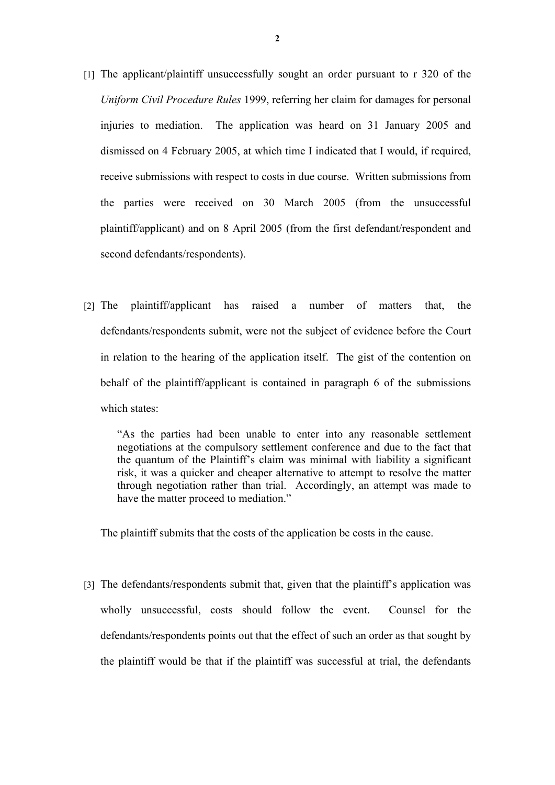- [1] The applicant/plaintiff unsuccessfully sought an order pursuant to r 320 of the *Uniform Civil Procedure Rules* 1999, referring her claim for damages for personal injuries to mediation. The application was heard on 31 January 2005 and dismissed on 4 February 2005, at which time I indicated that I would, if required, receive submissions with respect to costs in due course. Written submissions from the parties were received on 30 March 2005 (from the unsuccessful plaintiff/applicant) and on 8 April 2005 (from the first defendant/respondent and second defendants/respondents).
- [2] The plaintiff/applicant has raised a number of matters that, the defendants/respondents submit, were not the subject of evidence before the Court in relation to the hearing of the application itself. The gist of the contention on behalf of the plaintiff/applicant is contained in paragraph 6 of the submissions which states:

"As the parties had been unable to enter into any reasonable settlement negotiations at the compulsory settlement conference and due to the fact that the quantum of the Plaintiff's claim was minimal with liability a significant risk, it was a quicker and cheaper alternative to attempt to resolve the matter through negotiation rather than trial. Accordingly, an attempt was made to have the matter proceed to mediation."

The plaintiff submits that the costs of the application be costs in the cause.

[3] The defendants/respondents submit that, given that the plaintiff's application was wholly unsuccessful, costs should follow the event. Counsel for the defendants/respondents points out that the effect of such an order as that sought by the plaintiff would be that if the plaintiff was successful at trial, the defendants